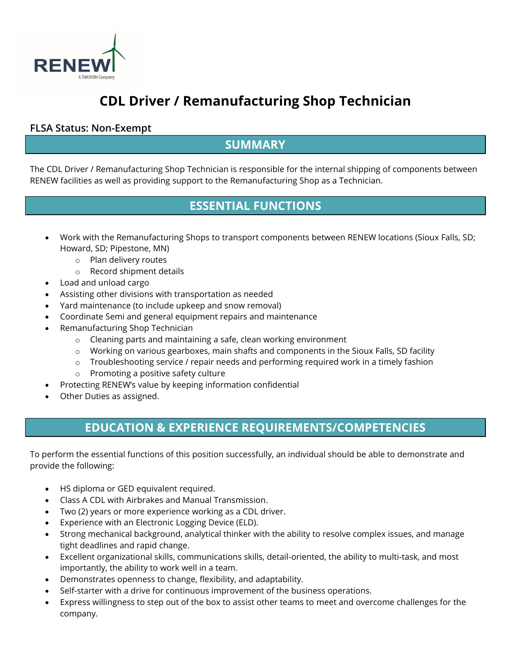

# **CDL Driver / Remanufacturing Shop Technician**

#### **FLSA Status: Non-Exempt**

#### **SUMMARY**

The CDL Driver / Remanufacturing Shop Technician is responsible for the internal shipping of components between RENEW facilities as well as providing support to the Remanufacturing Shop as a Technician.

### **ESSENTIAL FUNCTIONS**

- Work with the Remanufacturing Shops to transport components between RENEW locations (Sioux Falls, SD; Howard, SD; Pipestone, MN)
	- o Plan delivery routes
	- o Record shipment details
- Load and unload cargo
- Assisting other divisions with transportation as needed
- Yard maintenance (to include upkeep and snow removal)
- Coordinate Semi and general equipment repairs and maintenance
- Remanufacturing Shop Technician
	- o Cleaning parts and maintaining a safe, clean working environment
	- o Working on various gearboxes, main shafts and components in the Sioux Falls, SD facility
	- o Troubleshooting service / repair needs and performing required work in a timely fashion
	- o Promoting a positive safety culture
- Protecting RENEW's value by keeping information confidential
- Other Duties as assigned.

## **EDUCATION & EXPERIENCE REQUIREMENTS/COMPETENCIES**

To perform the essential functions of this position successfully, an individual should be able to demonstrate and provide the following:

- HS diploma or GED equivalent required.
- Class A CDL with Airbrakes and Manual Transmission.
- Two (2) years or more experience working as a CDL driver.
- Experience with an Electronic Logging Device (ELD).
- Strong mechanical background, analytical thinker with the ability to resolve complex issues, and manage tight deadlines and rapid change.
- Excellent organizational skills, communications skills, detail-oriented, the ability to multi-task, and most importantly, the ability to work well in a team.
- Demonstrates openness to change, flexibility, and adaptability.
- Self-starter with a drive for continuous improvement of the business operations.
- Express willingness to step out of the box to assist other teams to meet and overcome challenges for the company.